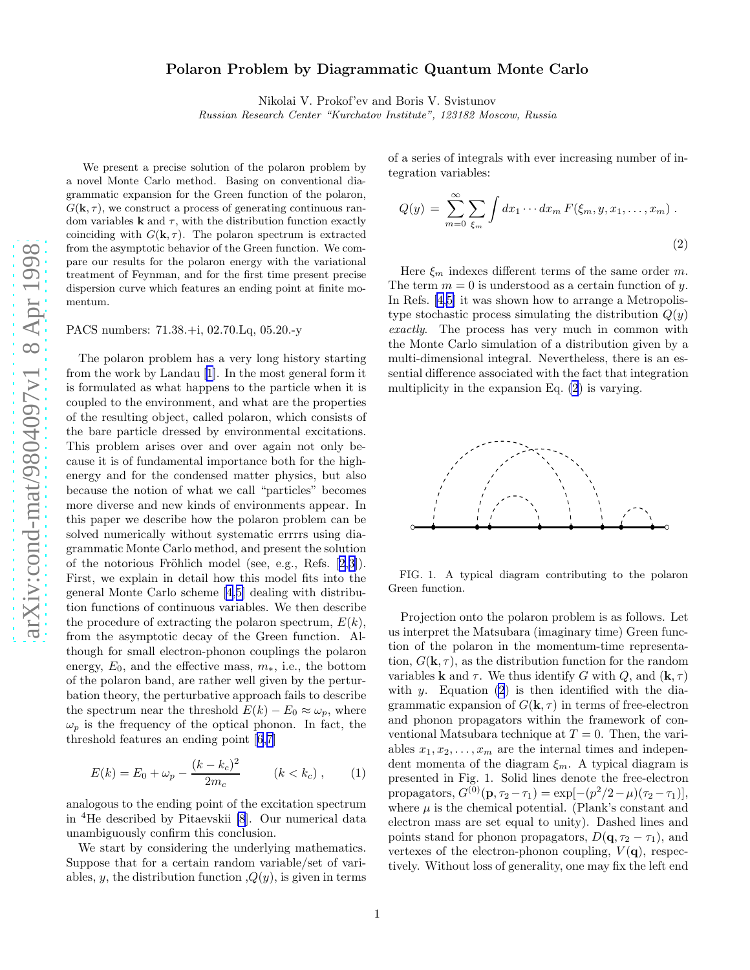## Polaron Problem by Diagrammatic Quantum Monte Carlo

Nikolai V. Prokof'ev and Boris V. Svistunov

Russian Research Center "Kurchatov Institute", 123182 Moscow, Russia

<span id="page-0-0"></span>We present a precise solution of the polaron problem by a novel Monte Carlo method. Basing on conventional diagrammatic expansion for the Green function of the polaron,  $G(\mathbf{k}, \tau)$ , we construct a process of generating continuous random variables **k** and  $\tau$ , with the distribution function exactly coinciding with  $G(\mathbf{k}, \tau)$ . The polaron spectrum is extracted from the asymptotic behavior of the Green function. We compare our results for the polaron energy with the variational treatment of Feynman, and for the first time present precise dispersion curve which features an ending point at finite momentum.

PACS numbers: 71.38.+i, 02.70.Lq, 05.20.-y

The polaron problem has a very long history starting from the work by Landau[[1\]](#page-3-0). In the most general form it is formulated as what happens to the particle when it is coupled to the environment, and what are the properties of the resulting object, called polaron, which consists of the bare particle dressed by environmental excitations. This problem arises over and over again not only because it is of fundamental importance both for the highenergy and for the condensed matter physics, but also because the notion of what we call "particles" becomes more diverse and new kinds of environments appear. In this paper we describe how the polaron problem can be solved numerically without systematic errrrs using diagrammatic Monte Carlo method, and present the solution ofthe notorious Fröhlich model (see, e.g., Refs.  $[2,3]$  $[2,3]$ ). First, we explain in detail how this model fits into the general Monte Carlo scheme[[4,5\]](#page-3-0) dealing with distribution functions of continuous variables. We then describe the procedure of extracting the polaron spectrum,  $E(k)$ , from the asymptotic decay of the Green function. Although for small electron-phonon couplings the polaron energy,  $E_0$ , and the effective mass,  $m_*$ , i.e., the bottom of the polaron band, are rather well given by the perturbation theory, the perturbative approach fails to describe the spectrum near the threshold  $E(k) - E_0 \approx \omega_p$ , where  $\omega_p$  is the frequency of the optical phonon. In fact, the threshold features an ending point[[6](#page-3-0),[7\]](#page-3-0)

$$
E(k) = E_0 + \omega_p - \frac{(k - k_c)^2}{2m_c} \qquad (k < k_c), \qquad (1)
$$

analogous to the ending point of the excitation spectrum in <sup>4</sup>He described by Pitaevskii [\[8](#page-3-0)]. Our numerical data unambiguously confirm this conclusion.

We start by considering the underlying mathematics. Suppose that for a certain random variable/set of variables, y, the distribution function  $Q(y)$ , is given in terms of a series of integrals with ever increasing number of integration variables:

$$
Q(y) = \sum_{m=0}^{\infty} \sum_{\xi_m} \int dx_1 \cdots dx_m F(\xi_m, y, x_1, \dots, x_m) .
$$
\n(2)

Here  $\xi_m$  indexes different terms of the same order m. The term  $m = 0$  is understood as a certain function of y. In Refs. [\[4](#page-3-0),[5\]](#page-3-0) it was shown how to arrange a Metropolistype stochastic process simulating the distribution  $Q(y)$ exactly. The process has very much in common with the Monte Carlo simulation of a distribution given by a multi-dimensional integral. Nevertheless, there is an essential difference associated with the fact that integration multiplicity in the expansion Eq. (2) is varying.



FIG. 1. A typical diagram contributing to the polaron Green function.

Projection onto the polaron problem is as follows. Let us interpret the Matsubara (imaginary time) Green function of the polaron in the momentum-time representation,  $G(\mathbf{k}, \tau)$ , as the distribution function for the random variables **k** and  $\tau$ . We thus identify G with Q, and  $(\mathbf{k}, \tau)$ with  $y$ . Equation  $(2)$  is then identified with the diagrammatic expansion of  $G(\mathbf{k}, \tau)$  in terms of free-electron and phonon propagators within the framework of conventional Matsubara technique at  $T = 0$ . Then, the variables  $x_1, x_2, \ldots, x_m$  are the internal times and independent momenta of the diagram  $\xi_m$ . A typical diagram is presented in Fig. 1. Solid lines denote the free-electron propagators,  $G^{(0)}(\mathbf{p}, \tau_2 - \tau_1) = \exp[-(p^2/2 - \mu)(\tau_2 - \tau_1)],$ where  $\mu$  is the chemical potential. (Plank's constant and electron mass are set equal to unity). Dashed lines and points stand for phonon propagators,  $D(\mathbf{q}, \tau_2 - \tau_1)$ , and vertexes of the electron-phonon coupling,  $V(\mathbf{q})$ , respectively. Without loss of generality, one may fix the left end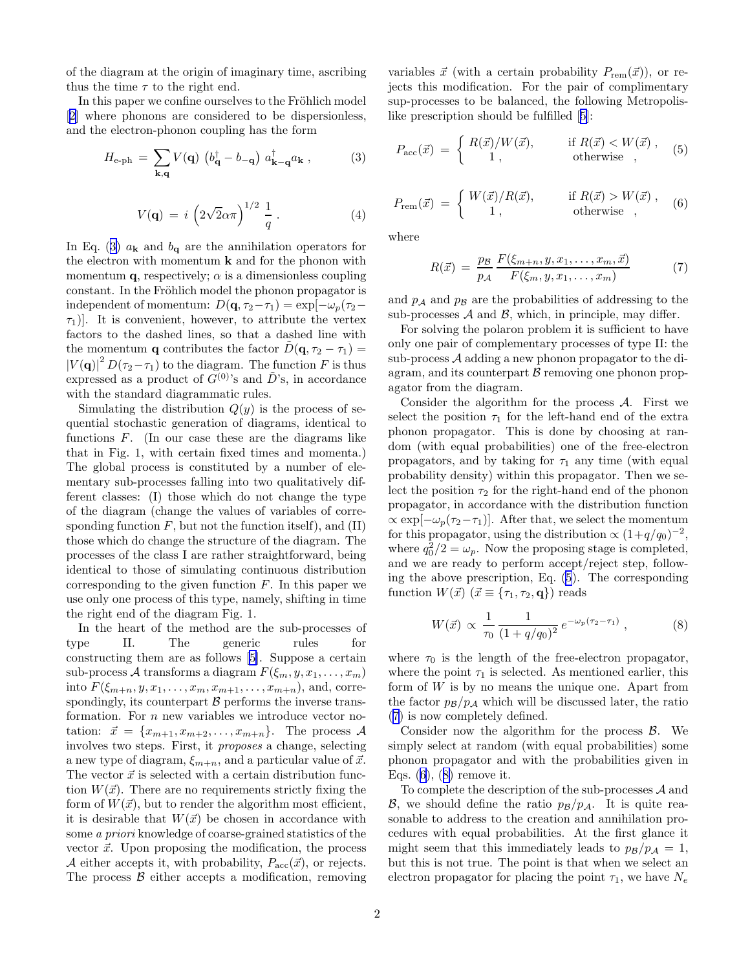<span id="page-1-0"></span>of the diagram at the origin of imaginary time, ascribing thus the time  $\tau$  to the right end.

In this paper we confine ourselves to the Fröhlich model [[2\]](#page-3-0) where phonons are considered to be dispersionless, and the electron-phonon coupling has the form

$$
H_{\text{e-ph}} = \sum_{\mathbf{k}, \mathbf{q}} V(\mathbf{q}) \left( b_{\mathbf{q}}^{\dagger} - b_{-\mathbf{q}} \right) a_{\mathbf{k} - \mathbf{q}}^{\dagger} a_{\mathbf{k}} , \qquad (3)
$$

$$
V(\mathbf{q}) = i \left(2\sqrt{2}\alpha\pi\right)^{1/2} \frac{1}{q}.
$$
 (4)

In Eq. (3)  $a_{\mathbf{k}}$  and  $b_{\mathbf{q}}$  are the annihilation operators for the electron with momentum  $k$  and for the phonon with momentum **q**, respectively;  $\alpha$  is a dimensionless coupling constant. In the Fröhlich model the phonon propagator is independent of momentum:  $D(\mathbf{q}, \tau_2-\tau_1) = \exp[-\omega_p(\tau_2-\tau_1)]$  $\tau_1$ ). It is convenient, however, to attribute the vertex factors to the dashed lines, so that a dashed line with the momentum **q** contributes the factor  $\ddot{D}(\mathbf{q}, \tau_2 - \tau_1) =$  $|V(\mathbf{q})|^2 D(\tau_2-\tau_1)$  to the diagram. The function F is thus expressed as a product of  $G^{(0)}$ 's and  $\tilde{D}$ 's, in accordance with the standard diagrammatic rules.

Simulating the distribution  $Q(y)$  is the process of sequential stochastic generation of diagrams, identical to functions  $F$ . (In our case these are the diagrams like that in Fig. 1, with certain fixed times and momenta.) The global process is constituted by a number of elementary sub-processes falling into two qualitatively different classes: (I) those which do not change the type of the diagram (change the values of variables of corresponding function  $F$ , but not the function itself), and  $(II)$ those which do change the structure of the diagram. The processes of the class I are rather straightforward, being identical to those of simulating continuous distribution corresponding to the given function  $F$ . In this paper we use only one process of this type, namely, shifting in time the right end of the diagram Fig. 1.

In the heart of the method are the sub-processes of type II. The generic rules for constructing them are as follows[[5\]](#page-3-0). Suppose a certain sub-process A transforms a diagram  $F(\xi_m, y, x_1, \ldots, x_m)$ into  $F(\xi_{m+n}, y, x_1, \ldots, x_m, x_{m+1}, \ldots, x_{m+n})$ , and, correspondingly, its counterpart  $\beta$  performs the inverse transformation. For *n* new variables we introduce vector notation:  $\vec{x} = \{x_{m+1}, x_{m+2}, \ldots, x_{m+n}\}.$  The process A involves two steps. First, it proposes a change, selecting a new type of diagram,  $\xi_{m+n}$ , and a particular value of  $\vec{x}$ . The vector  $\vec{x}$  is selected with a certain distribution function  $W(\vec{x})$ . There are no requirements strictly fixing the form of  $W(\vec{x})$ , but to render the algorithm most efficient, it is desirable that  $W(\vec{x})$  be chosen in accordance with some a priori knowledge of coarse-grained statistics of the vector  $\vec{x}$ . Upon proposing the modification, the process A either accepts it, with probability,  $P_{\text{acc}}(\vec{x})$ , or rejects. The process  $\beta$  either accepts a modification, removing

variables  $\vec{x}$  (with a certain probability  $P_{\text{rem}}(\vec{x})$ ), or rejects this modification. For the pair of complimentary sup-processes to be balanced, the following Metropolislike prescription should be fulfilled[[5\]](#page-3-0):

$$
P_{\rm acc}(\vec{x}) = \begin{cases} R(\vec{x})/W(\vec{x}), & \text{if } R(\vec{x}) < W(\vec{x}), \\ 1, & \text{otherwise} \end{cases}
$$
 (5)

$$
P_{\text{rem}}(\vec{x}) = \begin{cases} W(\vec{x})/R(\vec{x}), & \text{if } R(\vec{x}) > W(\vec{x}), \\ 1, & \text{otherwise} \end{cases}
$$
(6)

where

$$
R(\vec{x}) = \frac{p_{\mathcal{B}}}{p_{\mathcal{A}}} \frac{F(\xi_{m+n}, y, x_1, \dots, x_m, \vec{x})}{F(\xi_m, y, x_1, \dots, x_m)}
$$
(7)

and  $p_A$  and  $p_B$  are the probabilities of addressing to the sub-processes  $A$  and  $B$ , which, in principle, may differ.

For solving the polaron problem it is sufficient to have only one pair of complementary processes of type II: the sub-process  $A$  adding a new phonon propagator to the diagram, and its counterpart  $\beta$  removing one phonon propagator from the diagram.

Consider the algorithm for the process  $A$ . First we select the position  $\tau_1$  for the left-hand end of the extra phonon propagator. This is done by choosing at random (with equal probabilities) one of the free-electron propagators, and by taking for  $\tau_1$  any time (with equal probability density) within this propagator. Then we select the position  $\tau_2$  for the right-hand end of the phonon propagator, in accordance with the distribution function  $\propto \exp[-\omega_p(\tau_2-\tau_1)]$ . After that, we select the momentum for this propagator, using the distribution  $\propto (1+q/q_0)^{-2}$ , where  $q_0^2/2 = \omega_p$ . Now the proposing stage is completed, and we are ready to perform accept/reject step, following the above prescription, Eq. (5). The corresponding function  $W(\vec{x})$   $(\vec{x} \equiv {\tau_1, \tau_2, \mathbf{q}})$  reads

$$
W(\vec{x}) \propto \frac{1}{\tau_0} \frac{1}{(1 + q/q_0)^2} e^{-\omega_p(\tau_2 - \tau_1)}, \qquad (8)
$$

where  $\tau_0$  is the length of the free-electron propagator, where the point  $\tau_1$  is selected. As mentioned earlier, this form of  $W$  is by no means the unique one. Apart from the factor  $p_{\beta}/p_{\mathcal{A}}$  which will be discussed later, the ratio (7) is now completely defined.

Consider now the algorithm for the process  $\beta$ . We simply select at random (with equal probabilities) some phonon propagator and with the probabilities given in Eqs.  $(6)$ ,  $(8)$  remove it.

To complete the description of the sub-processes  $A$  and  $\mathcal{B}$ , we should define the ratio  $p_{\mathcal{B}}/p_{\mathcal{A}}$ . It is quite reasonable to address to the creation and annihilation procedures with equal probabilities. At the first glance it might seem that this immediately leads to  $p_B/p_A = 1$ , but this is not true. The point is that when we select an electron propagator for placing the point  $\tau_1$ , we have  $N_e$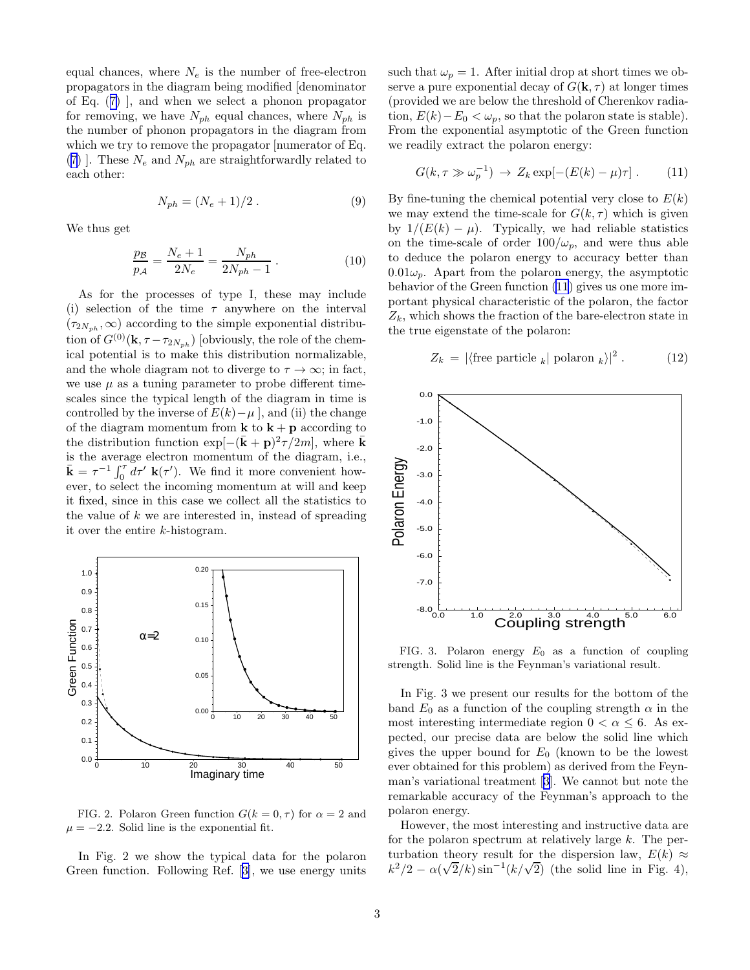equal chances, where  $N_e$  is the number of free-electron propagators in the diagram being modified [denominator of Eq.([7\)](#page-1-0) ], and when we select a phonon propagator for removing, we have  $N_{ph}$  equal chances, where  $N_{ph}$  is the number of phonon propagators in the diagram from which we try to remove the propagator [numerator of Eq. ([7\)](#page-1-0) ]. These  $N_e$  and  $N_{ph}$  are straightforwardly related to each other:

$$
N_{ph} = (N_e + 1)/2.
$$
 (9)

We thus get

$$
\frac{p_B}{p_A} = \frac{N_e + 1}{2N_e} = \frac{N_{ph}}{2N_{ph} - 1} \,. \tag{10}
$$

As for the processes of type I, these may include (i) selection of the time  $\tau$  anywhere on the interval  $(\tau_{2N_{ph}}, \infty)$  according to the simple exponential distribution of  $G^{(0)}(\mathbf{k}, \tau-\tau_{2N_{ph}})$  [obviously, the role of the chemical potential is to make this distribution normalizable, and the whole diagram not to diverge to  $\tau \to \infty$ ; in fact, we use  $\mu$  as a tuning parameter to probe different timescales since the typical length of the diagram in time is controlled by the inverse of  $E(k)-\mu$ , and (ii) the change of the diagram momentum from  $\bf{k}$  to  $\bf{k}$  +  $\bf{p}$  according to the distribution function  $\exp[-(\bar{\mathbf{k}}+\mathbf{p})^2\tau/2m]$ , where  $\bar{\mathbf{k}}$ is the average electron momentum of the diagram, i.e.,  $\bar{\mathbf{k}} = \tau^{-1} \int_0^{\tau} d\tau' \mathbf{k}(\tau')$ . We find it more convenient however, to select the incoming momentum at will and keep it fixed, since in this case we collect all the statistics to the value of  $k$  we are interested in, instead of spreading it over the entire k-histogram.



FIG. 2. Polaron Green function  $G(k = 0, \tau)$  for  $\alpha = 2$  and  $\mu = -2.2$ . Solid line is the exponential fit.

In Fig. 2 we show the typical data for the polaron Green function. Following Ref.[[3\]](#page-3-0), we use energy units such that  $\omega_p = 1$ . After initial drop at short times we observe a pure exponential decay of  $G(\mathbf{k}, \tau)$  at longer times (provided we are below the threshold of Cherenkov radiation,  $E(k)-E_0 < \omega_n$ , so that the polaron state is stable). From the exponential asymptotic of the Green function we readily extract the polaron energy:

$$
G(k, \tau \gg \omega_p^{-1}) \to Z_k \exp[-(E(k) - \mu)\tau]. \tag{11}
$$

By fine-tuning the chemical potential very close to  $E(k)$ we may extend the time-scale for  $G(k, \tau)$  which is given by  $1/(E(k) - \mu)$ . Typically, we had reliable statistics on the time-scale of order  $100/\omega_p$ , and were thus able to deduce the polaron energy to accuracy better than  $0.01\omega_p$ . Apart from the polaron energy, the asymptotic behavior of the Green function (11) gives us one more important physical characteristic of the polaron, the factor  $Z_k$ , which shows the fraction of the bare-electron state in the true eigenstate of the polaron:

$$
Z_k = |\langle \text{free particle}_k | \text{polaron}_k \rangle|^2. \tag{12}
$$



FIG. 3. Polaron energy  $E_0$  as a function of coupling strength. Solid line is the Feynman's variational result.

In Fig. 3 we present our results for the bottom of the band  $E_0$  as a function of the coupling strength  $\alpha$  in the most interesting intermediate region  $0 < \alpha \leq 6$ . As expected, our precise data are below the solid line which gives the upper bound for  $E_0$  (known to be the lowest ever obtained for this problem) as derived from the Feynman's variational treatment[[3\]](#page-3-0). We cannot but note the remarkable accuracy of the Feynman's approach to the polaron energy.

However, the most interesting and instructive data are for the polaron spectrum at relatively large k. The perturbation theory result for the dispersion law,  $E(k) \approx$  $k^2/2 - \alpha(\sqrt{2}/k)\sin^{-1}(k/\sqrt{2})$  (the solid line in Fig. 4),